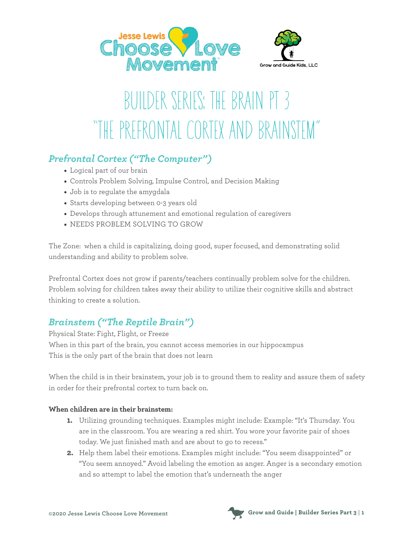



## BUILDER SERIES: THE BRAIN PT 3 "THE PREFRONTAL CORTEX AND BRAINSTEM"

## *Prefrontal Cortex ("The Computer")*

- Logical part of our brain
- Controls Problem Solving, Impulse Control, and Decision Making
- Job is to regulate the amygdala
- Starts developing between 0-3 years old
- Develops through attunement and emotional regulation of caregivers
- NEEDS PROBLEM SOLVING TO GROW

The Zone: when a child is capitalizing, doing good, super focused, and demonstrating solid understanding and ability to problem solve.

Prefrontal Cortex does not grow if parents/teachers continually problem solve for the children. Problem solving for children takes away their ability to utilize their cognitive skills and abstract thinking to create a solution.

## *Brainstem ("The Reptile Brain")*

Physical State: Fight, Flight, or Freeze When in this part of the brain, you cannot access memories in our hippocampus This is the only part of the brain that does not learn

When the child is in their brainstem, your job is to ground them to reality and assure them of safety in order for their prefrontal cortex to turn back on.

## **When children are in their brainstem:**

- **1.** Utilizing grounding techniques. Examples might include: Example: "It's Thursday. You are in the classroom. You are wearing a red shirt. You wore your favorite pair of shoes today. We just finished math and are about to go to recess."
- **2.** Help them label their emotions. Examples might include: "You seem disappointed" or "You seem annoyed." Avoid labeling the emotion as anger. Anger is a secondary emotion and so attempt to label the emotion that's underneath the anger